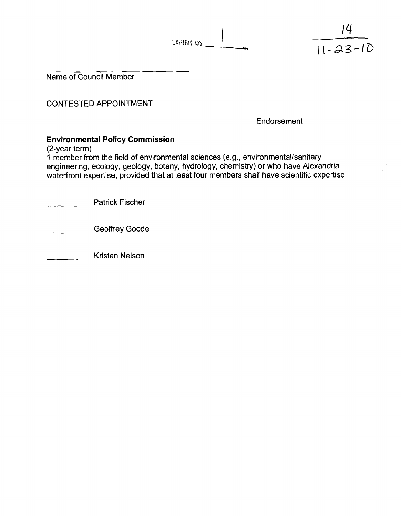| EXHIBIT NO. |  |
|-------------|--|
|             |  |

 $\mathbf{I}$ 

Name of Council Member

CONTESTED APPOINTMENT

Endorsement

 $|4|$ 

 $\frac{11-23-10}{11-23-10}$ 

# **Environmental Policy Commission**

(2-year term)

1 member from the field of environmental sciences (e.g., environmental/sanitary engineering, ecology, geology, botany, hydrology, chemistry) or who have Alexandria waterfront expertise, provided that at least four members shall have scientific expertise

Patrick Fischer

Geoffrey Goode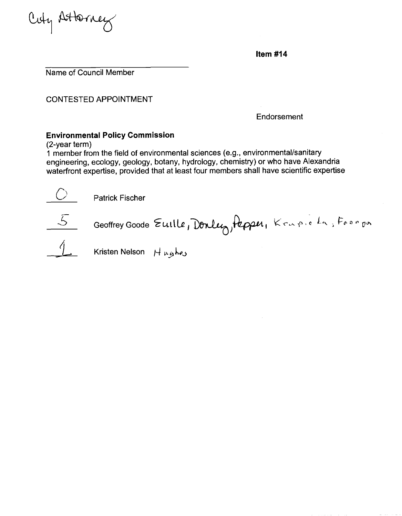

**Item #14** 

Name of Council Member

CONTESTED APPOINTMENT

Endorsement

# **Environmental Policy Commission**

(2-year term)

**1** mernber froni the field of environmental sciences (e.g., environmentallsanitary engineering, ecology, geology, botany, hydrology, chemistry) or who have Alexandria waterfront expertise, provided that at least four members shall have scientific expertise

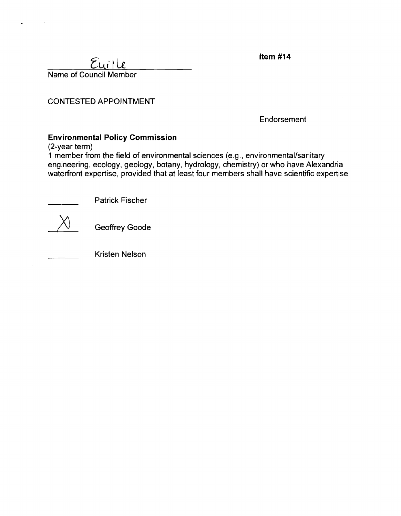| $E$ uille              |  |
|------------------------|--|
| Name of Council Member |  |

Item  $#14$ 

CONTESTED APPOINTMENT

**Endorsement** 

# **Environmental Policy Commission**

(2-year term)

1 member from the field of environmental sciences (e.g., environmental/sanitary engineering, ecology, geology, botany, hydrology, chemistry) or who have Alexandria waterfront expertise, provided that at least four members shall have scientific expertise



Geoffrey Goode

Patrick Fischer

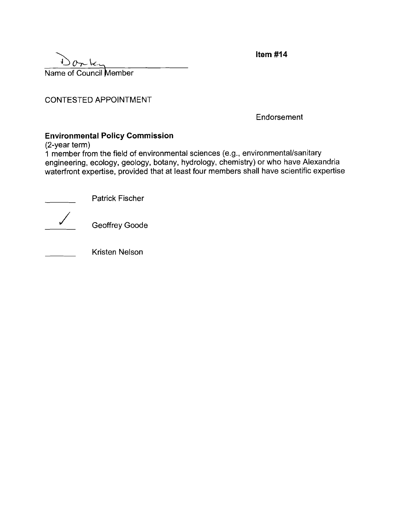| 0r <sub>k</sub>        |  |
|------------------------|--|
| Name of Council Member |  |

Item  $#14$ 

CONTESTED APPOINTMENT

**Endorsement** 

## **Environmental Policy Commission**

(2-year term)

1 member from the field of environmental sciences (e.g., environmentallsanitary engineering, ecology, geology, botany, hydrology, chemistry) or who have Alexandria waterfront expertise, provided that at least four members shall have scientific expertise r term)<br>
nber from the field of env<br>
eering, ecology, geology,<br>
ront expertise, provided<br>
— Patrick Fischer<br>
— Geoffrey Goode

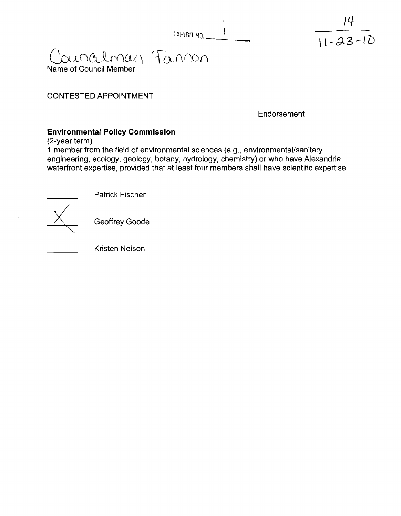|  | EXHIBIT NO. |  |  |
|--|-------------|--|--|
|--|-------------|--|--|

<u>Counalman</u> Fo

Name of Council Member

### CONTESTED APPOINTMENT

Endorsement

 $11 - 23 - 10$ 

## **Environmental Policy Commission**

(2-year term)

**1** member from the field of environmental sciences (e.g., environmentallsanitary engineering, ecology, geology, botany, hydrology, chemistry) or who have Alexandria waterfront expertise, provided that at least four members shall have scientific expertise



Patrick Fischer

**Geoffrey Goode**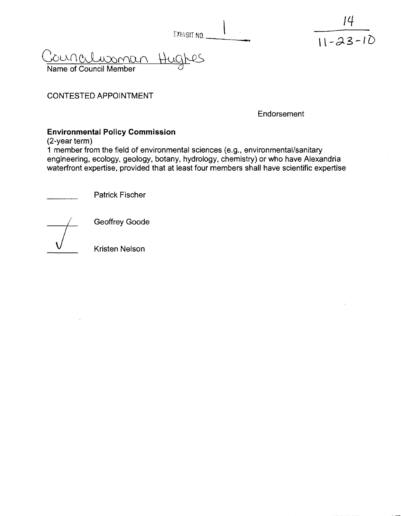| EXHIBIT NO. __ |  |
|----------------|--|

<u>Councilussman Hugh</u> \$45

Name of Council Member

### CONTESTED APPOINTMENT

Endorsement

 $11 - 23 - 10$ 

## Environmental Policy Commission

(2-year term)

1 member from the field of environmental sciences (e.g., environmental/sanitary engineering, ecology, geology, botany, hydrology, chemistry) or who have Alexandria waterfront expertise, provided that at least four members shall have scientific expertise

Patrick Fischer



Geoffrey Goode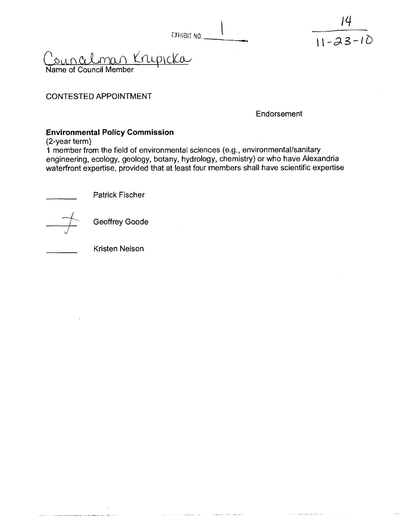| EXHIBIT NO. |  |
|-------------|--|
|             |  |

EXHIB<br>Suncelman Krupicka Name of Council Member

#### CONTESTED APPOINTMENT

Endorsement

14

 $11 - 23 - 10$ 

## **Environmental Policy Commission**

(2-year term)

**1** member from the field of environmental sciences (e.g., environmental/sanitary engineering, ecology, geology, botany, hydrology, chemistry) or who have Alexandria waterfront expertise, provided that at least four members shall have scientific expertise



Geoffrey Goode

Patrick Fischer